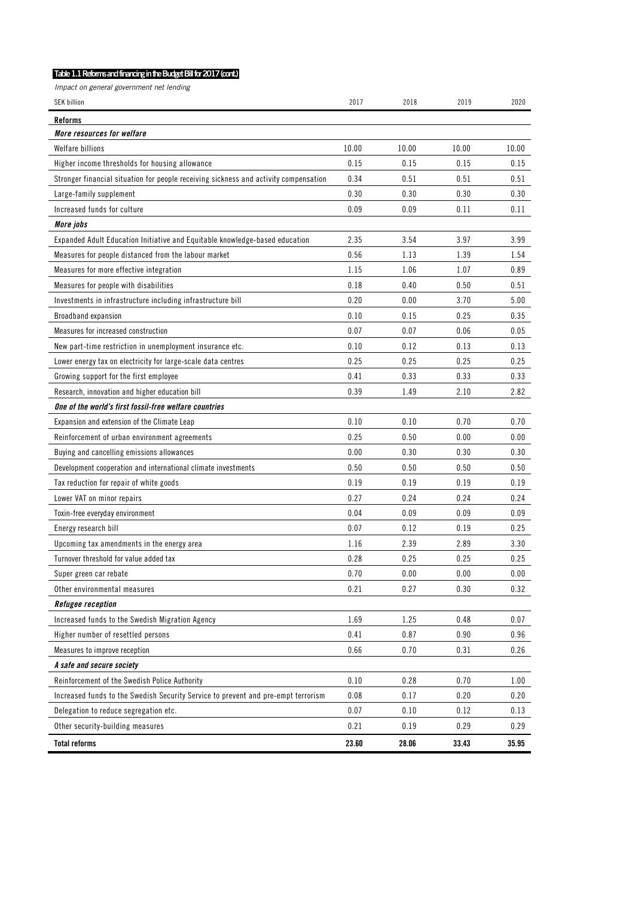## **Table 1.1 Reforms and financing in the Budget Bill for 2017 (cont.)**

Impact on general government net lending

| <b>SEK billion</b>                                                                   | 2017  | 2018  | 2019  | 2020  |
|--------------------------------------------------------------------------------------|-------|-------|-------|-------|
|                                                                                      |       |       |       |       |
| <b>Reforms</b><br>More resources for welfare                                         |       |       |       |       |
| <b>Welfare billions</b>                                                              | 10.00 | 10.00 | 10.00 | 10.00 |
| Higher income thresholds for housing allowance                                       | 0.15  | 0.15  | 0.15  | 0.15  |
| Stronger financial situation for people receiving sickness and activity compensation | 0.34  | 0.51  | 0.51  | 0.51  |
| Large-family supplement                                                              | 0.30  | 0.30  | 0.30  | 0.30  |
| Increased funds for culture                                                          | 0.09  | 0.09  | 0.11  | 0.11  |
| More jobs                                                                            |       |       |       |       |
| Expanded Adult Education Initiative and Equitable knowledge-based education          | 2.35  | 3.54  | 3.97  | 3.99  |
| Measures for people distanced from the labour market                                 | 0.56  | 1.13  | 1.39  | 1.54  |
| Measures for more effective integration                                              | 1.15  | 1.06  | 1.07  | 0.89  |
| Measures for people with disabilities                                                | 0.18  | 0.40  | 0.50  | 0.51  |
|                                                                                      | 0.20  | 0.00  | 3.70  |       |
| Investments in infrastructure including infrastructure bill                          |       |       |       | 5.00  |
| Broadband expansion                                                                  | 0.10  | 0.15  | 0.25  | 0.35  |
| Measures for increased construction                                                  | 0.07  | 0.07  | 0.06  | 0.05  |
| New part-time restriction in unemployment insurance etc.                             | 0.10  | 0.12  | 0.13  | 0.13  |
| Lower energy tax on electricity for large-scale data centres                         | 0.25  | 0.25  | 0.25  | 0.25  |
| Growing support for the first employee                                               | 0.41  | 0.33  | 0.33  | 0.33  |
| Research, innovation and higher education bill                                       | 0.39  | 1.49  | 2.10  | 2.82  |
| One of the world's first fossil-free welfare countries                               |       |       |       |       |
| Expansion and extension of the Climate Leap                                          | 0.10  | 0.10  | 0.70  | 0.70  |
| Reinforcement of urban environment agreements                                        | 0.25  | 0.50  | 0.00  | 0.00  |
| Buying and cancelling emissions allowances                                           | 0.00  | 0.30  | 0.30  | 0.30  |
| Development cooperation and international climate investments                        | 0.50  | 0.50  | 0.50  | 0.50  |
| Tax reduction for repair of white goods                                              | 0.19  | 0.19  | 0.19  | 0.19  |
| Lower VAT on minor repairs                                                           | 0.27  | 0.24  | 0.24  | 0.24  |
| Toxin-free everyday environment                                                      | 0.04  | 0.09  | 0.09  | 0.09  |
| Energy research bill                                                                 | 0.07  | 0.12  | 0.19  | 0.25  |
| Upcoming tax amendments in the energy area                                           | 1.16  | 2.39  | 2.89  | 3.30  |
| Turnover threshold for value added tax                                               | 0.28  | 0.25  | 0.25  | 0.25  |
| Super green car rebate                                                               | 0.70  | 0.00  | 0.00  | 0.00  |
| Other environmental measures                                                         | 0.21  | 0.27  | 0.30  | 0.32  |
| Refugee reception                                                                    |       |       |       |       |
| Increased funds to the Swedish Migration Agency                                      | 1.69  | 1.25  | 0.48  | 0.07  |
| Higher number of resettled persons                                                   | 0.41  | 0.87  | 0.90  | 0.96  |
| Measures to improve reception                                                        | 0.66  | 0.70  | 0.31  | 0.26  |
| A safe and secure society                                                            |       |       |       |       |
| Reinforcement of the Swedish Police Authority                                        | 0.10  | 0.28  | 0.70  | 1.00  |
| Increased funds to the Swedish Security Service to prevent and pre-empt terrorism    | 0.08  | 0.17  | 0.20  | 0.20  |
| Delegation to reduce segregation etc.                                                | 0.07  | 0.10  | 0.12  | 0.13  |
| Other security-building measures                                                     | 0.21  | 0.19  | 0.29  | 0.29  |
| <b>Total reforms</b>                                                                 | 23.60 | 28.06 | 33.43 | 35.95 |